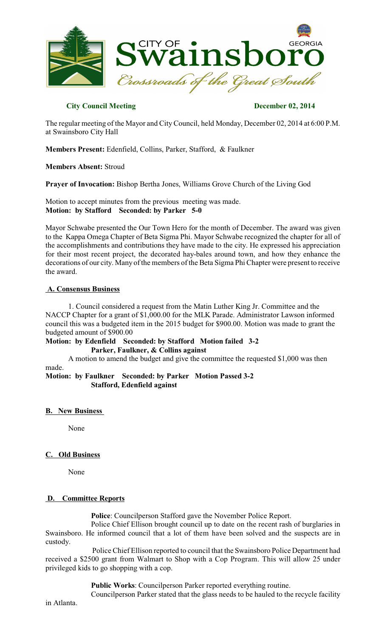

## **City Council Meeting December 02, 2014**

The regular meeting of the Mayor and City Council, held Monday, December 02, 2014 at 6:00 P.M. at Swainsboro City Hall

**Members Present:** Edenfield, Collins, Parker, Stafford, & Faulkner

**Members Absent:** Stroud

**Prayer of Invocation:** Bishop Bertha Jones, Williams Grove Church of the Living God

Motion to accept minutes from the previous meeting was made. **Motion: by Stafford Seconded: by Parker 5-0**

Mayor Schwabe presented the Our Town Hero for the month of December. The award was given to the Kappa Omega Chapter of Beta Sigma Phi. Mayor Schwabe recognized the chapter for all of the accomplishments and contributions they have made to the city. He expressed his appreciation for their most recent project, the decorated hay-bales around town, and how they enhance the decorations of our city. Many of the members of the Beta Sigma Phi Chapter were present to receive the award.

## **A. Consensus Business**

1. Council considered a request from the Matin Luther King Jr. Committee and the NACCP Chapter for a grant of \$1,000.00 for the MLK Parade. Administrator Lawson informed council this was a budgeted item in the 2015 budget for \$900.00. Motion was made to grant the budgeted amount of \$900.00

#### **Motion: by Edenfield Seconded: by Stafford Motion failed 3-2 Parker, Faulkner, & Collins against**

A motion to amend the budget and give the committee the requested \$1,000 was then made.

## **Motion: by Faulkner Seconded: by Parker Motion Passed 3-2 Stafford, Edenfield against**

## **B. New Business**

None

## **C. Old Business**

None

# **D. Committee Reports**

**Police**: Councilperson Stafford gave the November Police Report.

Police Chief Ellison brought council up to date on the recent rash of burglaries in Swainsboro. He informed council that a lot of them have been solved and the suspects are in custody.

Police Chief Ellison reported to council that the Swainsboro Police Department had received a \$2500 grant from Walmart to Shop with a Cop Program. This will allow 25 under privileged kids to go shopping with a cop.

**Public Works**: Councilperson Parker reported everything routine.

Councilperson Parker stated that the glass needs to be hauled to the recycle facility in Atlanta.